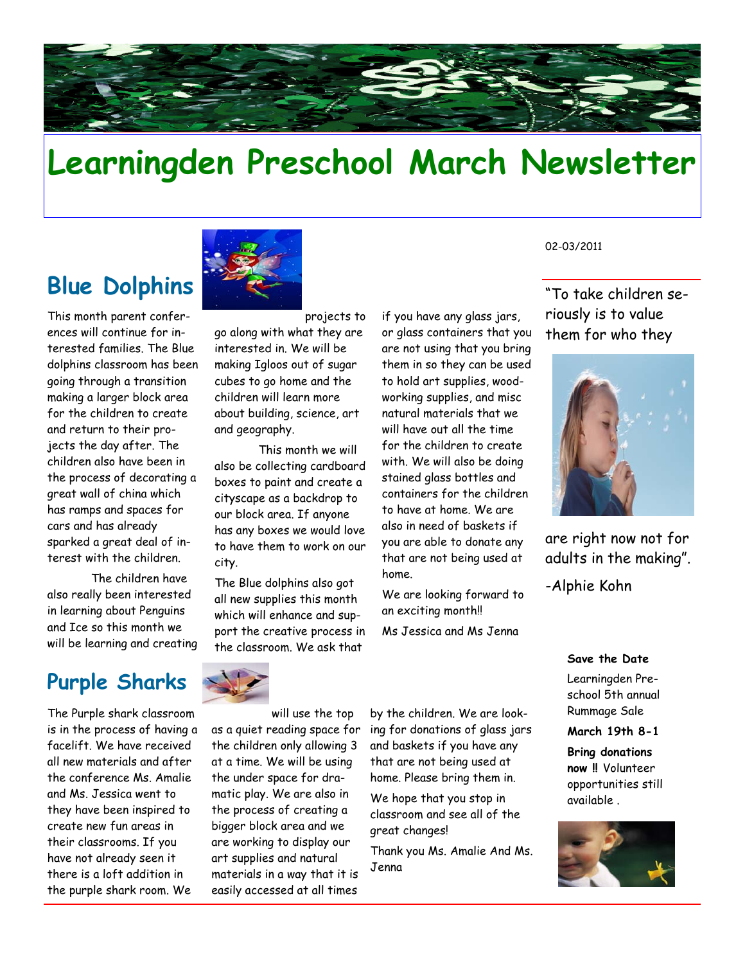

# **Learningden Preschool March Newsletter**

# **Blue Dolphins**

This month parent conferences will continue for interested families. The Blue dolphins classroom has been going through a transition making a larger block area for the children to create and return to their projects the day after. The children also have been in the process of decorating a great wall of china which has ramps and spaces for cars and has already sparked a great deal of interest with the children.

 The children have also really been interested in learning about Penguins and Ice so this month we will be learning and creating

### **Purple Sharks**

The Purple shark classroom is in the process of having a facelift. We have received all new materials and after the conference Ms. Amalie and Ms. Jessica went to they have been inspired to create new fun areas in their classrooms. If you have not already seen it there is a loft addition in the purple shark room. We



projects to go along with what they are interested in. We will be making Igloos out of sugar cubes to go home and the children will learn more about building, science, art and geography.

 This month we will also be collecting cardboard boxes to paint and create a cityscape as a backdrop to our block area. If anyone has any boxes we would love to have them to work on our city.

The Blue dolphins also got all new supplies this month which will enhance and support the creative process in the classroom. We ask that

if you have any glass jars, or glass containers that you are not using that you bring them in so they can be used to hold art supplies, woodworking supplies, and misc natural materials that we will have out all the time for the children to create with. We will also be doing stained glass bottles and containers for the children to have at home. We are also in need of baskets if you are able to donate any that are not being used at home.

We are looking forward to an exciting month!!

Ms Jessica and Ms Jenna

02-03/2011

"To take children seriously is to value them for who they



are right now not for adults in the making".

-Alphie Kohn

**Save the Date** 

Learningden Preschool 5th annual Rummage Sale

**March 19th 8-1** 

**Bring donations now !!** Volunteer opportunities still available .





will use the top as a quiet reading space for the children only allowing 3 at a time. We will be using the under space for dramatic play. We are also in the process of creating a bigger block area and we are working to display our art supplies and natural materials in a way that it is easily accessed at all times

by the children. We are looking for donations of glass jars and baskets if you have any that are not being used at home. Please bring them in.

We hope that you stop in classroom and see all of the great changes!

Thank you Ms. Amalie And Ms. Jenna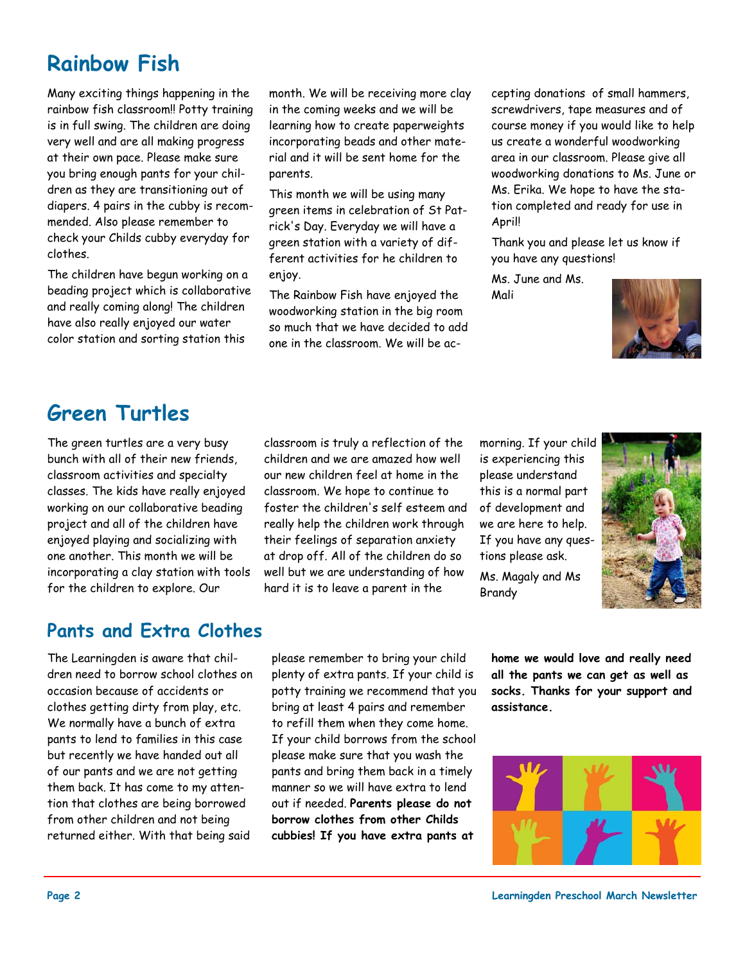# **Rainbow Fish**

Many exciting things happening in the rainbow fish classroom!! Potty training is in full swing. The children are doing very well and are all making progress at their own pace. Please make sure you bring enough pants for your children as they are transitioning out of diapers. 4 pairs in the cubby is recommended. Also please remember to check your Childs cubby everyday for clothes.

The children have begun working on a beading project which is collaborative and really coming along! The children have also really enjoyed our water color station and sorting station this

month. We will be receiving more clay in the coming weeks and we will be learning how to create paperweights incorporating beads and other material and it will be sent home for the parents.

This month we will be using many green items in celebration of St Patrick's Day. Everyday we will have a green station with a variety of different activities for he children to enjoy.

The Rainbow Fish have enjoyed the woodworking station in the big room so much that we have decided to add one in the classroom. We will be accepting donations of small hammers, screwdrivers, tape measures and of course money if you would like to help us create a wonderful woodworking area in our classroom. Please give all woodworking donations to Ms. June or Ms. Erika. We hope to have the station completed and ready for use in April!

Thank you and please let us know if you have any questions!

Ms. June and Ms. Mali



## **Green Turtles**

The green turtles are a very busy bunch with all of their new friends, classroom activities and specialty classes. The kids have really enjoyed working on our collaborative beading project and all of the children have enjoyed playing and socializing with one another. This month we will be incorporating a clay station with tools for the children to explore. Our

classroom is truly a reflection of the children and we are amazed how well our new children feel at home in the classroom. We hope to continue to foster the children's self esteem and really help the children work through their feelings of separation anxiety at drop off. All of the children do so well but we are understanding of how hard it is to leave a parent in the

morning. If your child is experiencing this please understand this is a normal part of development and we are here to help. If you have any questions please ask.

Ms. Magaly and Ms Brandy



#### **Pants and Extra Clothes**

The Learningden is aware that children need to borrow school clothes on occasion because of accidents or clothes getting dirty from play, etc. We normally have a bunch of extra pants to lend to families in this case but recently we have handed out all of our pants and we are not getting them back. It has come to my attention that clothes are being borrowed from other children and not being returned either. With that being said

please remember to bring your child plenty of extra pants. If your child is potty training we recommend that you bring at least 4 pairs and remember to refill them when they come home. If your child borrows from the school please make sure that you wash the pants and bring them back in a timely manner so we will have extra to lend out if needed. **Parents please do not borrow clothes from other Childs cubbies! If you have extra pants at** 

**home we would love and really need all the pants we can get as well as socks. Thanks for your support and assistance.**